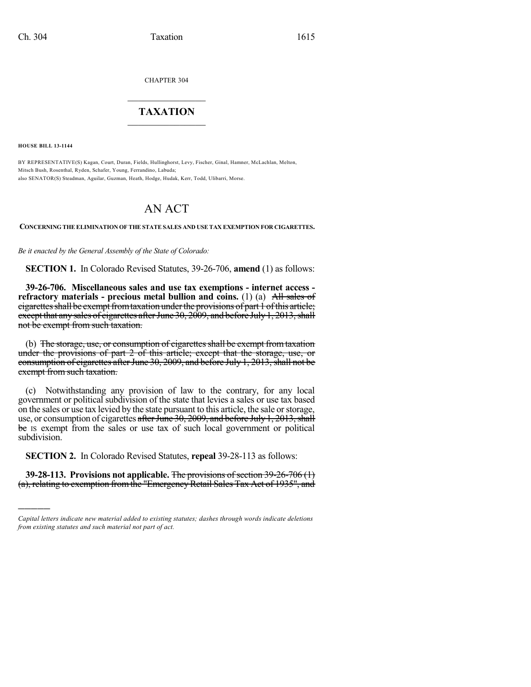CHAPTER 304

## $\overline{\phantom{a}}$  . The set of the set of the set of the set of the set of the set of the set of the set of the set of the set of the set of the set of the set of the set of the set of the set of the set of the set of the set o **TAXATION**  $\_$

**HOUSE BILL 13-1144**

)))))

BY REPRESENTATIVE(S) Kagan, Court, Duran, Fields, Hullinghorst, Levy, Fischer, Ginal, Hamner, McLachlan, Melton, Mitsch Bush, Rosenthal, Ryden, Schafer, Young, Ferrandino, Labuda; also SENATOR(S) Steadman, Aguilar, Guzman, Heath, Hodge, Hudak, Kerr, Todd, Ulibarri, Morse.

## AN ACT

**CONCERNING THE ELIMINATION OF THE STATESALES AND USETAX EXEMPTION FOR CIGARETTES.**

*Be it enacted by the General Assembly of the State of Colorado:*

**SECTION 1.** In Colorado Revised Statutes, 39-26-706, **amend** (1) as follows:

**39-26-706. Miscellaneous sales and use tax exemptions - internet access refractory materials - precious metal bullion and coins.** (1) (a) All sales of cigarettes shall be exempt from taxation under the provisions of part 1 of this article; except that any sales of cigarettes after June  $30, 2009$ , and before July 1, 2013, shall not be exempt from such taxation.

(b) The storage, use, or consumption of cigarettes shall be exempt from taxation under the provisions of part 2 of this article; except that the storage, use, or consumption of cigarettes after June 30, 2009, and before July 1, 2013, shall not be exempt from such taxation.

(c) Notwithstanding any provision of law to the contrary, for any local government or political subdivision of the state that levies a sales or use tax based on the sales or use tax levied by the state pursuant to this article, the sale orstorage, use, or consumption of cigarettes after June 30, 2009, and before July 1, 2013, shall be Is exempt from the sales or use tax of such local government or political subdivision.

**SECTION 2.** In Colorado Revised Statutes, **repeal** 39-28-113 as follows:

**39-28-113. Provisions not applicable.** The provisions of section 39-26-706 (1) (a), relating to exemption from the "Emergency Retail Sales Tax Act of 1935", and

*Capital letters indicate new material added to existing statutes; dashes through words indicate deletions from existing statutes and such material not part of act.*